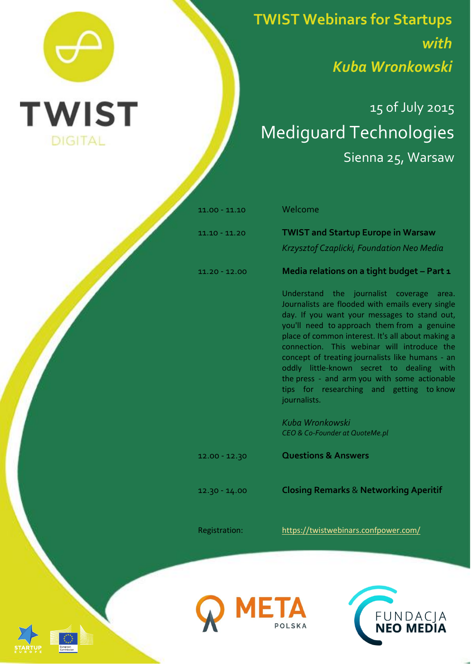

**TWIST Webinars for Startups** *with Kuba Wronkowski*

## 15 of July 2015 Mediguard Technologies Sienna 25, Warsaw

11.00 - 11.10 Welcome

11.10 - 11.20 **TWIST and Startup Europe in Warsaw**

## *Krzysztof Czaplicki, Foundation Neo Media*

11.20 - 12.00 **Media relations on a tight budget – Part 1**

Understand the journalist coverage area. Journalists are flooded with emails every single day. If you want your messages to stand out, you'll need to approach them from a genuine place of common interest. It's all about making a connection. This webinar will introduce the concept of treating journalists like humans - an oddly little-known secret to dealing with the press - and arm you with some actionable tips for researching and getting to know journalists.

*Kuba Wronkowski CEO & Co-Founder at QuoteMe.pl*

12.00 - 12.30 **Questions & Answers**

12.30 - 14.00 **Closing Remarks** & **Networking Aperitif**

Registration: <https://twistwebinars.confpower.com/>